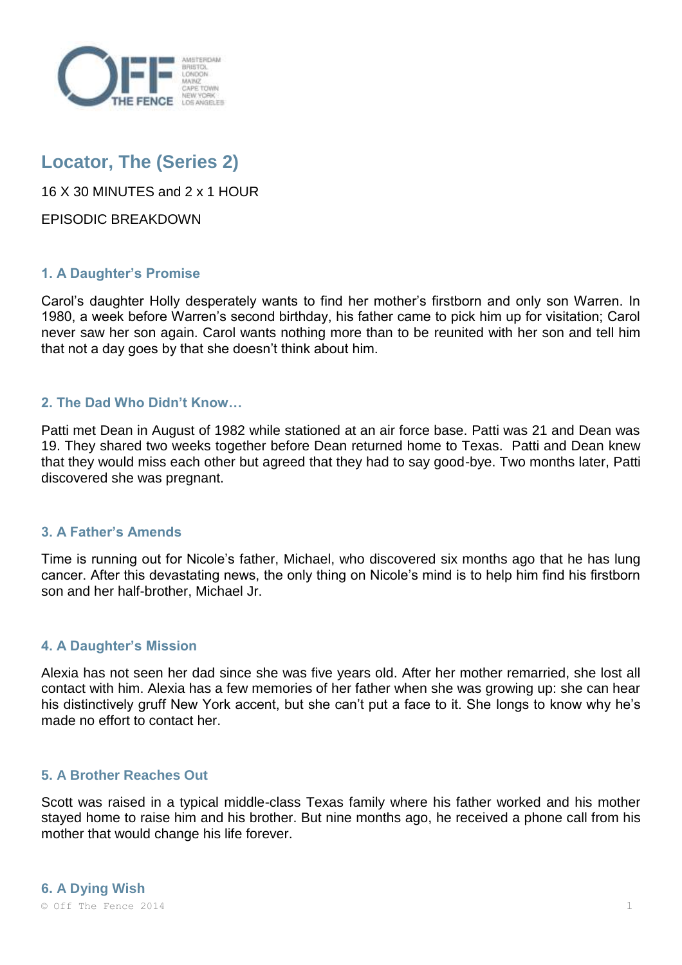

# **Locator, The (Series 2)**

16 X 30 MINUTES and 2 x 1 HOUR

EPISODIC BREAKDOWN

# **1. A Daughter's Promise**

Carol's daughter Holly desperately wants to find her mother's firstborn and only son Warren. In 1980, a week before Warren's second birthday, his father came to pick him up for visitation; Carol never saw her son again. Carol wants nothing more than to be reunited with her son and tell him that not a day goes by that she doesn't think about him.

# **2. The Dad Who Didn't Know…**

Patti met Dean in August of 1982 while stationed at an air force base. Patti was 21 and Dean was 19. They shared two weeks together before Dean returned home to Texas. Patti and Dean knew that they would miss each other but agreed that they had to say good-bye. Two months later, Patti discovered she was pregnant.

# **3. A Father's Amends**

Time is running out for Nicole's father, Michael, who discovered six months ago that he has lung cancer. After this devastating news, the only thing on Nicole's mind is to help him find his firstborn son and her half-brother, Michael Jr.

# **4. A Daughter's Mission**

Alexia has not seen her dad since she was five years old. After her mother remarried, she lost all contact with him. Alexia has a few memories of her father when she was growing up: she can hear his distinctively gruff New York accent, but she can't put a face to it. She longs to know why he's made no effort to contact her.

#### **5. A Brother Reaches Out**

Scott was raised in a typical middle-class Texas family where his father worked and his mother stayed home to raise him and his brother. But nine months ago, he received a phone call from his mother that would change his life forever.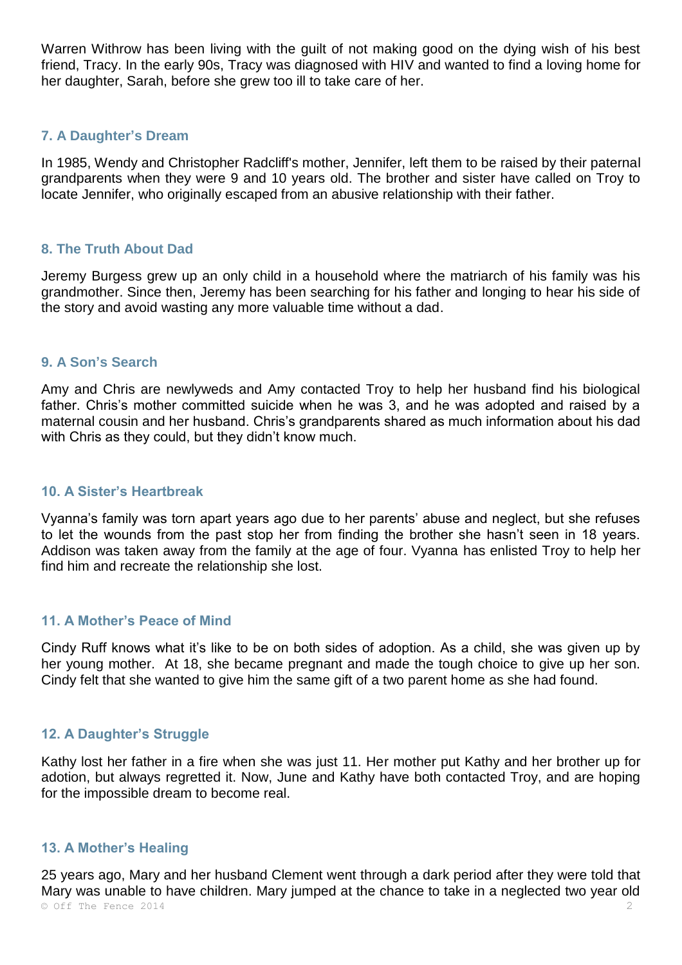Warren Withrow has been living with the guilt of not making good on the dying wish of his best friend, Tracy. In the early 90s, Tracy was diagnosed with HIV and wanted to find a loving home for her daughter, Sarah, before she grew too ill to take care of her.

## **7. A Daughter's Dream**

In 1985, Wendy and Christopher Radcliff's mother, Jennifer, left them to be raised by their paternal grandparents when they were 9 and 10 years old. The brother and sister have called on Troy to locate Jennifer, who originally escaped from an abusive relationship with their father.

## **8. The Truth About Dad**

Jeremy Burgess grew up an only child in a household where the matriarch of his family was his grandmother. Since then, Jeremy has been searching for his father and longing to hear his side of the story and avoid wasting any more valuable time without a dad.

## **9. A Son's Search**

Amy and Chris are newlyweds and Amy contacted Troy to help her husband find his biological father. Chris's mother committed suicide when he was 3, and he was adopted and raised by a maternal cousin and her husband. Chris's grandparents shared as much information about his dad with Chris as they could, but they didn't know much.

#### **10. A Sister's Heartbreak**

Vyanna's family was torn apart years ago due to her parents' abuse and neglect, but she refuses to let the wounds from the past stop her from finding the brother she hasn't seen in 18 years. Addison was taken away from the family at the age of four. Vyanna has enlisted Troy to help her find him and recreate the relationship she lost.

#### **11. A Mother's Peace of Mind**

Cindy Ruff knows what it's like to be on both sides of adoption. As a child, she was given up by her young mother. At 18, she became pregnant and made the tough choice to give up her son. Cindy felt that she wanted to give him the same gift of a two parent home as she had found.

# **12. A Daughter's Struggle**

Kathy lost her father in a fire when she was just 11. Her mother put Kathy and her brother up for adotion, but always regretted it. Now, June and Kathy have both contacted Troy, and are hoping for the impossible dream to become real.

#### **13. A Mother's Healing**

© Off The Fence 2014 25 years ago, Mary and her husband Clement went through a dark period after they were told that Mary was unable to have children. Mary jumped at the chance to take in a neglected two year old